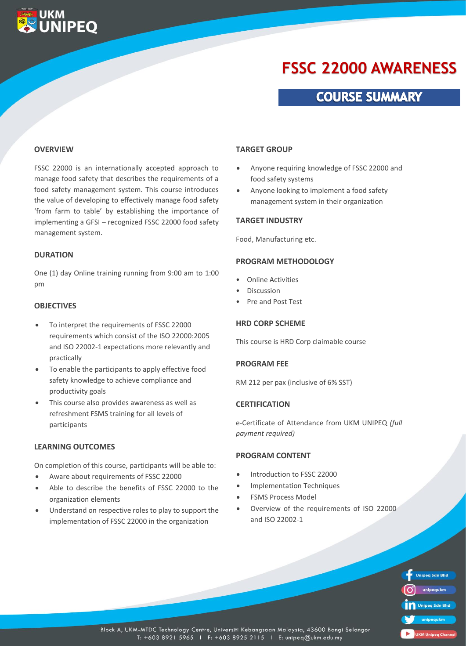# **FSSC 22000 AWARENESS**

### **COURSE SUMMARY**

#### **OVERVIEW**

**UKM<br>UNIPEQ** 

FSSC 22000 is an internationally accepted approach to manage food safety that describes the requirements of a food safety management system. This course introduces the value of developing to effectively manage food safety 'from farm to table' by establishing the importance of implementing a GFSI – recognized FSSC 22000 food safety management system.

#### **DURATION**

One (1) day Online training running from 9:00 am to 1:00 pm

#### **OBJECTIVES**

- To interpret the requirements of FSSC 22000 requirements which consist of the ISO 22000:2005 and ISO 22002-1 expectations more relevantly and practically
- To enable the participants to apply effective food safety knowledge to achieve compliance and productivity goals
- This course also provides awareness as well as refreshment FSMS training for all levels of participants

#### **LEARNING OUTCOMES**

On completion of this course, participants will be able to:

- Aware about requirements of FSSC 22000
- Able to describe the benefits of FSSC 22000 to the organization elements
- Understand on respective roles to play to support the implementation of FSSC 22000 in the organization

#### **TARGET GROUP**

- Anyone requiring knowledge of FSSC 22000 and food safety systems
- Anyone looking to implement a food safety management system in their organization

#### **TARGET INDUSTRY**

Food, Manufacturing etc.

#### **PROGRAM METHODOLOGY**

- Online Activities
- Discussion
- Pre and Post Test

#### **HRD CORP SCHEME**

This course is HRD Corp claimable course

#### **PROGRAM FEE**

RM 212 per pax (inclusive of 6% SST)

#### **CERTIFICATION**

e-Certificate of Attendance from UKM UNIPEQ *(full payment required)*

#### **PROGRAM CONTENT**

- Introduction to FSSC 22000
- Implementation Techniques
- FSMS Process Model
- Overview of the requirements of ISO 22000 and ISO 22002-1

**Unipeq Sdn Bhd** unipegukm **Unipeg Sdn Bhd UKM Unipeg Cha** 

Block A, UKM-MTDC Technology Centre, Universiti Kebangsaan Malaysia, 43600 Bangi Selangor T: +603 8921 5965 | F: +603 8925 2115 | E: unipeq@ukm.edu.my